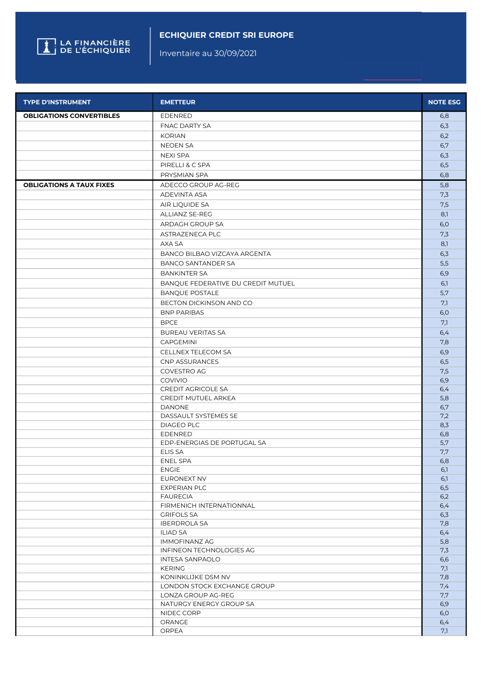

## ECHIQUIER CREDIT SRI EUROPE

Inventaire au 30/09/2021

| <b>TYPE D'INSTRUMENT</b>        | <b>EMETTEUR</b>                       | <b>NOTE ESG</b> |
|---------------------------------|---------------------------------------|-----------------|
| <b>OBLIGATIONS CONVERTIBLES</b> | <b>EDENRED</b>                        | 6,8             |
|                                 | <b>FNAC DARTY SA</b>                  | 6,3             |
|                                 | <b>KORIAN</b>                         | 6,2             |
|                                 | <b>NEOEN SA</b>                       | 6,7             |
|                                 | <b>NEXI SPA</b>                       | 6,3             |
|                                 | PIRELLI & C SPA                       | 6,5             |
|                                 | PRYSMIAN SPA                          | 6,8             |
| <b>OBLIGATIONS A TAUX FIXES</b> | ADECCO GROUP AG-REG                   | 5,8             |
|                                 | ADEVINTA ASA                          | 7,3             |
|                                 | AIR LIQUIDE SA                        | 7,5             |
|                                 | ALLIANZ SE-REG                        | 8,1             |
|                                 | ARDAGH GROUP SA                       | 6,0             |
|                                 | ASTRAZENECA PLC                       | 7,3             |
|                                 | AXA SA                                | 8,1             |
|                                 | BANCO BILBAO VIZCAYA ARGENTA          |                 |
|                                 | <b>BANCO SANTANDER SA</b>             | 6,3<br>5,5      |
|                                 |                                       |                 |
|                                 | <b>BANKINTER SA</b>                   | 6,9             |
|                                 | BANQUE FEDERATIVE DU CREDIT MUTUEL    | 6,1             |
|                                 | <b>BANQUE POSTALE</b>                 | 5,7             |
|                                 | BECTON DICKINSON AND CO               | 7,1             |
|                                 | <b>BNP PARIBAS</b>                    | 6,0             |
|                                 | <b>BPCE</b>                           | 7,1             |
|                                 | <b>BUREAU VERITAS SA</b>              | 6,4             |
|                                 | CAPGEMINI                             | 7,8             |
|                                 | CELLNEX TELECOM SA                    | 6,9             |
|                                 | CNP ASSURANCES                        | 6,5             |
|                                 | COVESTRO AG                           | 7,5             |
|                                 | <b>COVIVIO</b>                        | 6,9             |
|                                 | <b>CREDIT AGRICOLE SA</b>             | 6,4             |
|                                 | CREDIT MUTUEL ARKEA                   | 5,8             |
|                                 | <b>DANONE</b><br>DASSAULT SYSTEMES SE | 6,7<br>7,2      |
|                                 | <b>DIAGEO PLC</b>                     | 8,3             |
|                                 | EDENRED                               | 6,8             |
|                                 | EDP-ENERGIAS DE PORTUGAL SA           | 5,7             |
|                                 | ELIS SA                               | 7,7             |
|                                 | ENEL SPA                              | 6,8             |
|                                 | <b>ENGIE</b>                          | 6,1             |
|                                 | EURONEXT NV                           | 6,1             |
|                                 | <b>EXPERIAN PLC</b>                   | 6,5             |
|                                 | <b>FAURECIA</b>                       | 6,2             |
|                                 | FIRMENICH INTERNATIONNAL              | 6,4             |
|                                 | <b>GRIFOLS SA</b>                     | 6,3             |
|                                 | <b>IBERDROLA SA</b>                   | 7,8             |
|                                 | ILIAD SA                              | 6,4             |
|                                 | <b>IMMOFINANZ AG</b>                  | 5,8             |
|                                 | INFINEON TECHNOLOGIES AG              | 7,3             |
|                                 | <b>INTESA SANPAOLO</b>                | 6,6             |
|                                 | <b>KERING</b><br>KONINKLIJKE DSM NV   | 7,1<br>7,8      |
|                                 | LONDON STOCK EXCHANGE GROUP           | 7,4             |
|                                 | LONZA GROUP AG-REG                    | 7,7             |
|                                 | NATURGY ENERGY GROUP SA               | 6,9             |
|                                 | NIDEC CORP                            | 6,0             |
|                                 | ORANGE                                | 6,4             |
|                                 | ORPEA                                 | 7,1             |